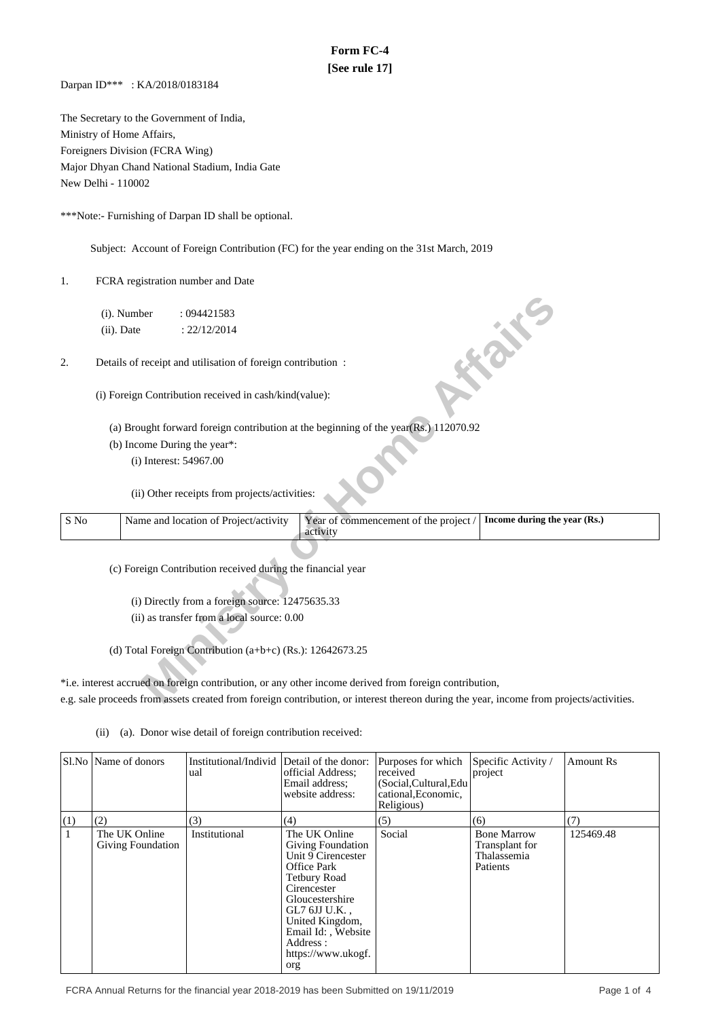# **Form FC-4 [See rule 17]**

Darpan ID\*\*\* : KA/2018/0183184

The Secretary to the Government of India, Ministry of Home Affairs, Foreigners Division (FCRA Wing) Major Dhyan Chand National Stadium, India Gate New Delhi - 110002

\*\*\*Note:- Furnishing of Darpan ID shall be optional.

Subject: Account of Foreign Contribution (FC) for the year ending on the 31st March, 2019

1. FCRA registration number and Date

|      | (i). Number   |                        | : 094421583                                                 |                                                                                                                                         |                              |
|------|---------------|------------------------|-------------------------------------------------------------|-----------------------------------------------------------------------------------------------------------------------------------------|------------------------------|
|      | $(ii)$ . Date |                        | : 22/12/2014                                                |                                                                                                                                         |                              |
|      |               |                        |                                                             |                                                                                                                                         | <b>FOR THE</b>               |
| 2.   |               |                        | Details of receipt and utilisation of foreign contribution: |                                                                                                                                         |                              |
|      |               |                        |                                                             |                                                                                                                                         |                              |
|      |               |                        | (i) Foreign Contribution received in cash/kind(value):      |                                                                                                                                         |                              |
|      |               |                        |                                                             |                                                                                                                                         |                              |
|      |               |                        |                                                             | (a) Brought forward foreign contribution at the beginning of the year $(Rs.)$ 112070.92                                                 |                              |
|      |               |                        | (b) Income During the year*:                                |                                                                                                                                         |                              |
|      |               | (i) Interest: 54967.00 |                                                             |                                                                                                                                         |                              |
|      |               |                        |                                                             |                                                                                                                                         |                              |
|      |               |                        | (ii) Other receipts from projects/activities:               |                                                                                                                                         |                              |
|      |               |                        |                                                             |                                                                                                                                         |                              |
| S No |               |                        | Name and location of Project/activity                       | Year of commencement of the project /<br>activity                                                                                       | Income during the year (Rs.) |
|      |               |                        |                                                             |                                                                                                                                         |                              |
|      |               |                        |                                                             |                                                                                                                                         |                              |
|      |               |                        | (c) Foreign Contribution received during the financial year |                                                                                                                                         |                              |
|      |               |                        |                                                             |                                                                                                                                         |                              |
|      |               |                        | (i) Directly from a foreign source: 12475635.33             |                                                                                                                                         |                              |
|      |               |                        | (ii) as transfer from a local source: 0.00                  |                                                                                                                                         |                              |
|      |               |                        |                                                             |                                                                                                                                         |                              |
|      |               |                        | (d) Total Foreign Contribution (a+b+c) (Rs.): $12642673.25$ |                                                                                                                                         |                              |
|      |               |                        |                                                             |                                                                                                                                         |                              |
|      |               |                        |                                                             | *i.e. interest accrued on foreign contribution, or any other income derived from foreign contribution,                                  |                              |
|      |               |                        |                                                             | e.g. sale proceeds from assets created from foreign contribution, or interest thereon during the year, income from projects/activities. |                              |

\*i.e. interest accrued on foreign contribution, or any other income derived from foreign contribution, e.g. sale proceeds from assets created from foreign contribution, or interest thereon during the year, income from projects/activities.

(ii) (a). Donor wise detail of foreign contribution received:

|     | Sl.No   Name of donors                    | Institutional/Individ Detail of the donor:<br>ual | official Address;<br>Email address:<br>website address:                                                                                                                                                                                           | Purposes for which<br>received<br>(Social, Cultural, Edu<br>cational, Economic,<br>Religious) | Specific Activity /<br>project                                  | <b>Amount Rs</b> |
|-----|-------------------------------------------|---------------------------------------------------|---------------------------------------------------------------------------------------------------------------------------------------------------------------------------------------------------------------------------------------------------|-----------------------------------------------------------------------------------------------|-----------------------------------------------------------------|------------------|
| (1) | (2)                                       | (3)                                               | (4)                                                                                                                                                                                                                                               | (5)                                                                                           | (6)                                                             | (7)              |
|     | The UK Online<br><b>Giving Foundation</b> | Institutional                                     | The UK Online<br><b>Giving Foundation</b><br>Unit 9 Cirencester<br><b>Office Park</b><br><b>Tetbury Road</b><br>Cirencester<br>Gloucestershire<br>GL7 6JJ U.K.,<br>United Kingdom,<br>Email Id:, Website<br>Address:<br>https://www.ukogf.<br>org | Social                                                                                        | <b>Bone Marrow</b><br>Transplant for<br>Thalassemia<br>Patients | 125469.48        |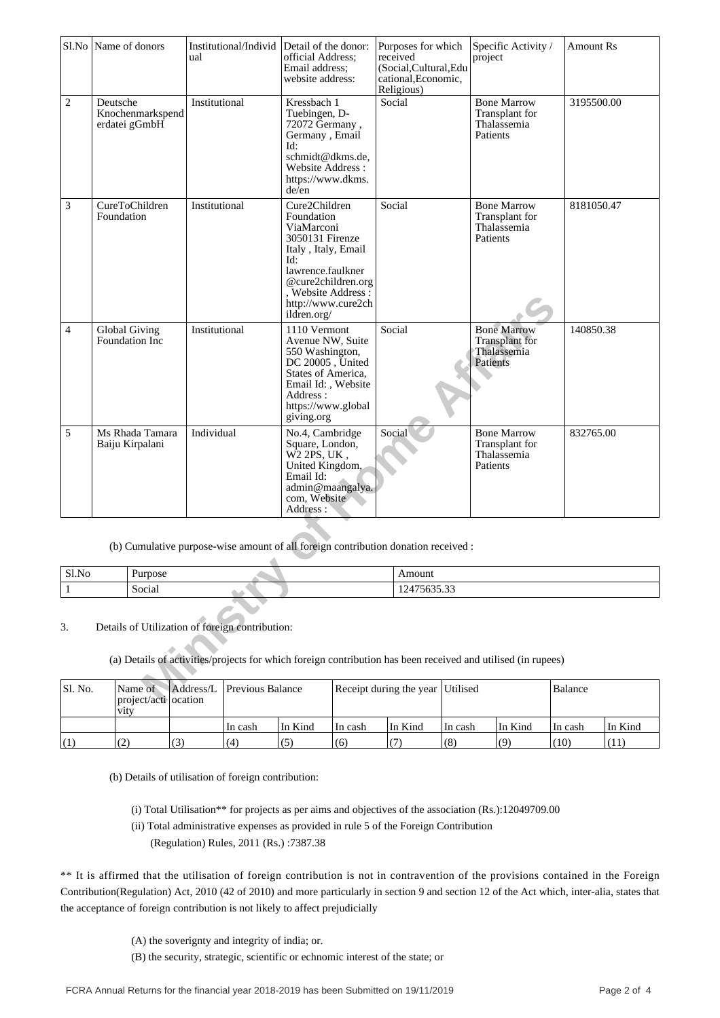|              | Sl.No Name of donors |                                    | Institutional/Individ<br>ual                                                                                                                                    | Detail of the donor:<br>official Address:<br>Email address;<br>website address:                                                                                                                  | Purposes for which<br>received<br>(Social, Cultural, Edu<br>cational, Economic,<br>Religious) |          | Specific Activity /<br>project                                         | <b>Amount Rs</b> |
|--------------|----------------------|------------------------------------|-----------------------------------------------------------------------------------------------------------------------------------------------------------------|--------------------------------------------------------------------------------------------------------------------------------------------------------------------------------------------------|-----------------------------------------------------------------------------------------------|----------|------------------------------------------------------------------------|------------------|
| $\sqrt{2}$   | Deutsche             | Knochenmarkspend<br>erdatei gGmbH  | Institutional                                                                                                                                                   | Kressbach 1<br>Tuebingen, D-<br>72072 Germany,<br>Germany, Email<br>Id:<br>schmidt@dkms.de,<br>Website Address:<br>https://www.dkms.<br>de/en                                                    | Social                                                                                        |          | <b>Bone Marrow</b><br>Transplant for<br>Thalassemia<br>Patients        | 3195500.00       |
| 3            | Foundation           | CureToChildren                     | Institutional                                                                                                                                                   | Cure2Children<br>Foundation<br>ViaMarconi<br>3050131 Firenze<br>Italy, Italy, Email<br>Id:<br>lawrence.faulkner<br>@cure2children.org<br>, Website Address:<br>http://www.cure2ch<br>ildren.org/ | Social                                                                                        |          | <b>Bone Marrow</b><br>Transplant for<br>Thalassemia<br>Patients        | 8181050.47       |
| 4            | <b>Global Giving</b> | Foundation Inc                     | Institutional                                                                                                                                                   | 1110 Vermont<br>Avenue NW, Suite<br>550 Washington,<br>DC 20005, United<br>States of America,<br>Email Id:, Website<br>Address:<br>https://www.global<br>giving.org                              | Social                                                                                        |          | <b>Bone Marrow</b><br><b>Transplant</b> for<br>Thalassemia<br>Patients | 140850.38        |
| 5            |                      | Ms Rhada Tamara<br>Baiju Kirpalani | Individual                                                                                                                                                      | No.4, Cambridge<br>Square, London,<br>W2 2PS, UK,<br>United Kingdom,<br>Email Id:<br>admin@maangalya.<br>com, Website<br>Address:                                                                | Social                                                                                        |          | <b>Bone Marrow</b><br>Transplant for<br>Thalassemia<br>Patients        | 832765.00        |
|              |                      |                                    | (b) Cumulative purpose-wise amount of all foreign contribution donation received :                                                                              |                                                                                                                                                                                                  |                                                                                               |          |                                                                        |                  |
| Sl.No        |                      | Purpose                            |                                                                                                                                                                 |                                                                                                                                                                                                  | Amount                                                                                        |          |                                                                        |                  |
| $\mathbf{1}$ |                      | Social                             |                                                                                                                                                                 |                                                                                                                                                                                                  | 12475635.33                                                                                   |          |                                                                        |                  |
| 3.           |                      |                                    | Details of Utilization of foreign contribution:<br>(a) Details of activities/projects for which foreign contribution has been received and utilised (in rupees) |                                                                                                                                                                                                  |                                                                                               |          |                                                                        |                  |
| Sl. No.      |                      | Name of<br>project/acti ocation    | Previous Balance<br>Address/L                                                                                                                                   |                                                                                                                                                                                                  | Receipt during the year                                                                       | Utilised |                                                                        | <b>Balance</b>   |

| Sl.No | urpose <sup>.</sup>     | эн                            |
|-------|-------------------------|-------------------------------|
|       | $\sim$ $\sim$<br>Social | $-22$<br><u>,,,,,,,</u><br>-- |

| Sl. No. | Name of<br>project/acti ocation<br><b>V1ty</b> |     | Address/L Previous Balance |         | Receipt during the year Utilised |         |         |         | Balance |         |
|---------|------------------------------------------------|-----|----------------------------|---------|----------------------------------|---------|---------|---------|---------|---------|
|         |                                                |     | ∣In cash                   | In Kind | In cash                          | In Kind | In cash | In Kind | In cash | In Kind |
| (1)     | (2)                                            | (3) | (4)                        | (5      | (6)                              |         | (8)     | (9)     | (10)    | (11)    |

(b) Details of utilisation of foreign contribution:

- (i) Total Utilisation\*\* for projects as per aims and objectives of the association (Rs.):12049709.00
- (ii) Total administrative expenses as provided in rule 5 of the Foreign Contribution
	- (Regulation) Rules, 2011 (Rs.) :7387.38

\*\* It is affirmed that the utilisation of foreign contribution is not in contravention of the provisions contained in the Foreign Contribution(Regulation) Act, 2010 (42 of 2010) and more particularly in section 9 and section 12 of the Act which, inter-alia, states that the acceptance of foreign contribution is not likely to affect prejudicially

- (A) the soverignty and integrity of india; or.
- (B) the security, strategic, scientific or echnomic interest of the state; or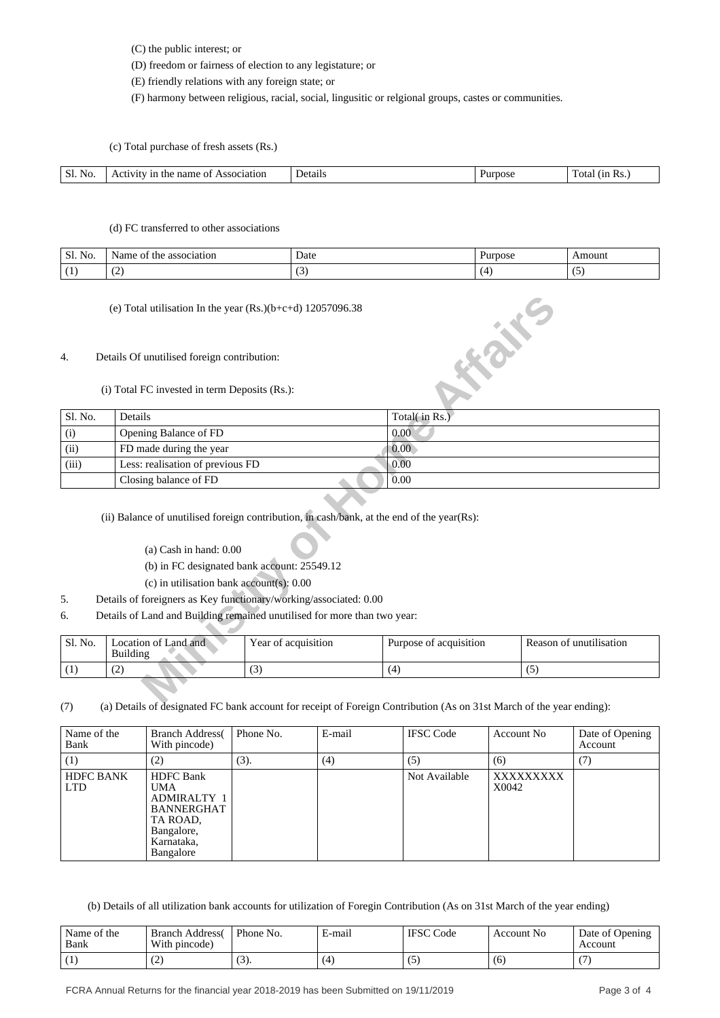(C) the public interest; or

(D) freedom or fairness of election to any legistature; or

(E) friendly relations with any foreign state; or

(F) harmony between religious, racial, social, lingusitic or relgional groups, castes or communities.

(c) Total purchase of fresh assets (Rs.)

| S)<br>NG.<br>------- | Пf<br>запоп<br>м<br>пани | . . 21 L . | . | nt: |
|----------------------|--------------------------|------------|---|-----|
|                      |                          |            |   |     |

## (d) FC transferred to other associations

| NO.<br>JI. | ΟĪ<br>the<br>association<br>4d. | Date                     | 1.14433000<br>700SC | noun |
|------------|---------------------------------|--------------------------|---------------------|------|
|            | $\ddot{\phantom{1}}$            | $\overline{\phantom{a}}$ |                     |      |

#### 4. Details Of unutilised foreign contribution:

|         | (e) Total utilisation In the year $(Rs.)(b+c+d)$ 12057096.38                                                                                                           |                                             |                        |                         |  |  |
|---------|------------------------------------------------------------------------------------------------------------------------------------------------------------------------|---------------------------------------------|------------------------|-------------------------|--|--|
| 4.      | Details Of unutilised foreign contribution:<br>(i) Total FC invested in term Deposits (Rs.):                                                                           |                                             | <b>HONE</b>            |                         |  |  |
| Sl. No. | Details                                                                                                                                                                |                                             | Total(in Rs.)          |                         |  |  |
| (i)     | Opening Balance of FD                                                                                                                                                  |                                             | 0.00                   |                         |  |  |
| (ii)    | FD made during the year                                                                                                                                                |                                             | 0.00 <sub>1</sub>      |                         |  |  |
| (iii)   | Less: realisation of previous FD                                                                                                                                       |                                             | 0.00                   |                         |  |  |
|         | Closing balance of FD                                                                                                                                                  |                                             | 0.00                   |                         |  |  |
|         | (ii) Balance of unutilised foreign contribution, in cash/bank, at the end of the year(Rs):<br>$(a)$ Cash in hand: $0.00$<br>(c) in utilisation bank account(s): $0.00$ | (b) in FC designated bank account: 25549.12 |                        |                         |  |  |
| 5.      | Details of foreigners as Key functionary/working/associated: 0.00                                                                                                      |                                             |                        |                         |  |  |
| 6.      | Details of Land and Building remained unutilised for more than two year:                                                                                               |                                             |                        |                         |  |  |
| Sl. No. | Location of Land and<br><b>Building</b>                                                                                                                                | Year of acquisition                         | Purpose of acquisition | Reason of unutilisation |  |  |
| (1)     | (2)                                                                                                                                                                    | (3)                                         | (4)                    | (5)                     |  |  |
|         |                                                                                                                                                                        |                                             |                        |                         |  |  |

## (a) Cash in hand: 0.00

- 5. Details of foreigners as Key functionary/working/associated: 0.00
- 6. Details of Land and Building remained unutilised for more than two year:

| Sl. No. | ocation of Land and<br>Building | Year of acquisition | .<br>Purpose of acquisition | Reason of unutilisation |
|---------|---------------------------------|---------------------|-----------------------------|-------------------------|
|         | $\sqrt{2}$<br>ست                | $\sqrt{2}$<br>ιJ    | (4                          | $\sim$                  |

(7) (a) Details of designated FC bank account for receipt of Foreign Contribution (As on 31st March of the year ending):

| Name of the<br>Bank            | <b>Branch Address</b><br>With pincode)                                                                                         | Phone No. | E-mail | <b>IFSC</b> Code | Account No         | Date of Opening<br>Account |
|--------------------------------|--------------------------------------------------------------------------------------------------------------------------------|-----------|--------|------------------|--------------------|----------------------------|
| (1)                            | (2)                                                                                                                            | (3).      | (4)    | (5)              | (6)                | (7)                        |
| <b>HDFC BANK</b><br><b>LTD</b> | <b>HDFC</b> Bank<br><b>UMA</b><br><b>ADMIRALTY 1</b><br><b>BANNERGHAT</b><br>TA ROAD,<br>Bangalore,<br>Karnataka,<br>Bangalore |           |        | Not Available    | XXXXXXXXX<br>X0042 |                            |

(b) Details of all utilization bank accounts for utilization of Foregin Contribution (As on 31st March of the year ending)

| Name of the<br>Bank | <b>Branch Address</b><br>With pincode) | Phone No. | E-mail | <b>IFSC</b> Code | Account No. | Date of Opening<br>Account |
|---------------------|----------------------------------------|-----------|--------|------------------|-------------|----------------------------|
|                     | $\sqrt{2}$<br>ے ا                      | . J J .   | (4)    |                  | (6)         |                            |